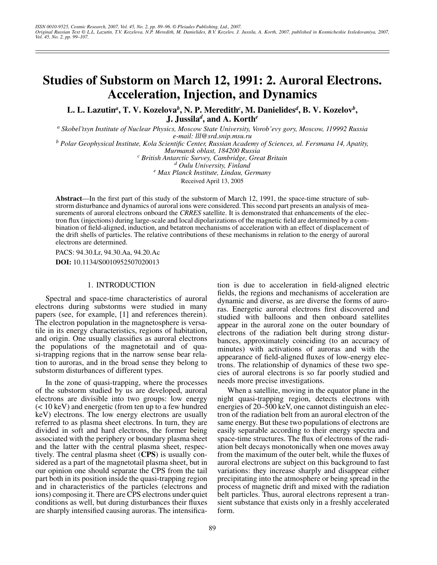# **Studies of Substorm on March 12, 1991: 2. Auroral Electrons. Acceleration, Injection, and Dynamics**

**L. L. Lazutin***<sup>a</sup>***, T. V. Kozelova***<sup>b</sup>* **, N. P. Meredith***<sup>c</sup>* **, M. Danielides***<sup>d</sup>***, B. V. Kozelov***<sup>b</sup>***, J. Jussila***<sup>d</sup>***, and A. Korth***<sup>e</sup>*

*a Skobel'tsyn Institute of Nuclear Physics, Moscow State University, Vorob'evy gory, Moscow, 119992 Russia*

*e-mail: lll@srd.snip.msu.ru <sup>b</sup> Polar Geophysical Institute, Kola Scientific Center, Russian Academy of Sciences, ul. Fersmana 14, Apatity,*

*Murmansk oblast, 184200 Russia <sup>c</sup>*

 *British Antarctic Survey, Cambridge, Great Britain <sup>d</sup> Oulu University, Finland <sup>e</sup> Max Planck Institute, Lindau, Germany*

Received April 13, 2005

**Abstract**—In the first part of this study of the substorm of March 12, 1991, the space-time structure of substrorm disturbance and dynamics of auroral ions were considered. This second part presents an analysis of measurements of auroral electrons onboard the *CRRES* satellite. It is demonstrated that enhancements of the electron flux (injections) during large-scale and local dipolarizations of the magnetic field are determined by a combination of field-aligned, induction, and betatron mechanisms of acceleration with an effect of displacement of the drift shells of particles. The relative contributions of these mechanisms in relation to the energy of auroral electrons are determined.

PACS: 94.30.Lr, 94.30.Aa, 94.20.Ac **DOI:** 10.1134/S0010952507020013

# 1. INTRODUCTION

Spectral and space-time characteristics of auroral electrons during substorms were studied in many papers (see, for example, [1] and references therein). The electron population in the magnetosphere is versatile in its energy characteristics, regions of habitation, and origin. One usually classifies as auroral electrons the populations of the magnetotail and of quasi-trapping regions that in the narrow sense bear relation to auroras, and in the broad sense they belong to substorm disturbances of different types.

In the zone of quasi-trapping, where the processes of the substorm studied by us are developed, auroral electrons are divisible into two groups: low energy (< 10 keV) and energetic (from ten up to a few hundred keV) electrons. The low energy electrons are usually referred to as plasma sheet electrons. In turn, they are divided in soft and hard electrons, the former being associated with the periphery or boundary plasma sheet and the latter with the central plasma sheet, respectively. The central plasma sheet (**CPS**) is usually considered as a part of the magnetotail plasma sheet, but in our opinion one should separate the CPS from the tail part both in its position inside the quasi-trapping region and in characteristics of the particles (electrons and ions) composing it. There are CPS electrons under quiet conditions as well, but during disturbances their fluxes are sharply intensified causing auroras. The intensification is due to acceleration in field-aligned electric fields, the regions and mechanisms of acceleration are dynamic and diverse, as are diverse the forms of auroras. Energetic auroral electrons first discovered and studied with balloons and then onboard satellites appear in the auroral zone on the outer boundary of electrons of the radiation belt during strong disturbances, approximately coinciding (to an accuracy of minutes) with activations of auroras and with the appearance of field-aligned fluxes of low-energy electrons. The relationship of dynamics of these two species of auroral electrons is so far poorly studied and needs more precise investigations.

When a satellite, moving in the equator plane in the night quasi-trapping region, detects electrons with energies of 20–500 keV, one cannot distinguish an electron of the radiation belt from an auroral electron of the same energy. But these two populations of electrons are easily separable according to their energy spectra and space-time structures. The flux of electrons of the radiation belt decays monotonically when one moves away from the maximum of the outer belt, while the fluxes of auroral electrons are subject on this background to fast variations: they increase sharply and disappear either precipitating into the atmosphere or being spread in the process of magnetic drift and mixed with the radiation belt particles. Thus, auroral electrons represent a transient substance that exists only in a freshly accelerated form.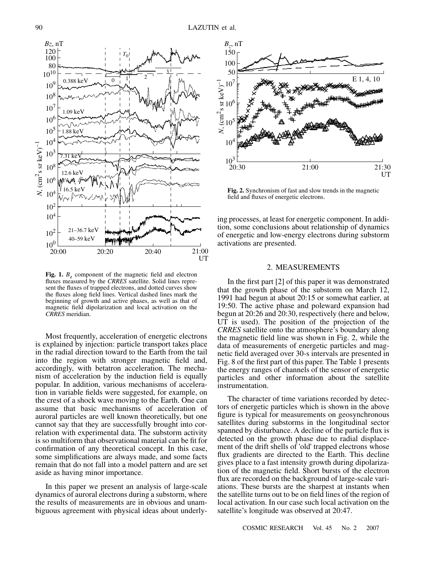

**Fig. 1.**  $B_7$  component of the magnetic field and electron fluxes measured by the *CRRES* satellite. Solid lines represent the fluxes of trapped electrons, and dotted curves show the fluxes along field lines. Vertical dashed lines mark the beginning of growth and active phases, as well as that of magnetic field dipolarization and local activation on the *CRRES* meridian.

Most frequently, acceleration of energetic electrons is explained by injection: particle transport takes place in the radial direction toward to the Earth from the tail into the region with stronger magnetic field and, accordingly, with betatron acceleration. The mechanism of acceleration by the induction field is equally popular. In addition, various mechanisms of acceleration in variable fields were suggested, for example, on the crest of a shock wave moving to the Earth. One can assume that basic mechanisms of acceleration of auroral particles are well known theoretically, but one cannot say that they are successfully brought into correlation with experimental data. The substorm activity is so multiform that observational material can be fit for confirmation of any theoretical concept. In this case, some simplifications are always made, and some facts remain that do not fall into a model pattern and are set aside as having minor importance.

In this paper we present an analysis of large-scale dynamics of auroral electrons during a substorm, where the results of measurements are in obvious and unambiguous agreement with physical ideas about underly-



**Fig. 2.** Synchronism of fast and slow trends in the magnetic field and fluxes of energetic electrons.

ing processes, at least for energetic component. In addition, some conclusions about relationship of dynamics of energetic and low-energy electrons during substorm activations are presented.

## 2. MEASUREMENTS

In the first part [2] of this paper it was demonstrated that the growth phase of the substorm on March 12, 1991 had begun at about 20:15 or somewhat earlier, at 19:50. The active phase and poleward expansion had begun at 20:26 and 20:30, respectively (here and below, UT is used). The position of the projection of the *CRRES* satellite onto the atmosphere's boundary along the magnetic field line was shown in Fig. 2, while the data of measurements of energetic particles and magnetic field averaged over 30-s intervals are presented in Fig. 8 of the first part of this paper. The Table 1 presents the energy ranges of channels of the sensor of energetic particles and other information about the satellite instrumentation.

The character of time variations recorded by detectors of energetic particles which is shown in the above figure is typical for measurements on geosynchronous satellites during substorms in the longitudinal sector spanned by disturbance. A decline of the particle flux is detected on the growth phase due to radial displacement of the drift shells of 'old' trapped electrons whose flux gradients are directed to the Earth. This decline gives place to a fast intensity growth during dipolarization of the magnetic field. Short bursts of the electron flux are recorded on the background of large-scale variations. These bursts are the sharpest at instants when the satellite turns out to be on field lines of the region of local activation. In our case such local activation on the satellite's longitude was observed at 20:47.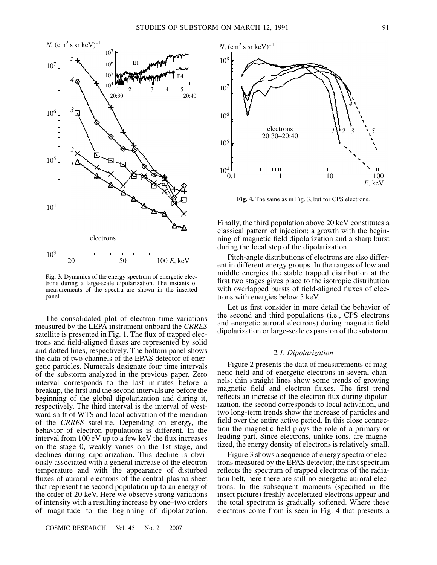

**Fig. 3.** Dynamics of the energy spectrum of energetic electrons during a large-scale dipolarization. The instants of measurements of the spectra are shown in the inserted panel.

The consolidated plot of electron time variations measured by the LEPA instrument onboard the *CRRES* satellite is presented in Fig. 1. The flux of trapped electrons and field-aligned fluxes are represented by solid and dotted lines, respectively. The bottom panel shows the data of two channels of the EPAS detector of energetic particles. Numerals designate four time intervals of the substorm analyzed in the previous paper. Zero interval corresponds to the last minutes before a breakup, the first and the second intervals are before the beginning of the global dipolarization and during it, respectively. The third interval is the interval of westward shift of WTS and local activation of the meridian of the *CRRES* satellite. Depending on energy, the behavior of electron populations is different. In the interval from 100 eV up to a few keV the flux increases on the stage 0, weakly varies on the 1st stage, and declines during dipolarization. This decline is obviously associated with a general increase of the electron temperature and with the appearance of disturbed fluxes of auroral electrons of the central plasma sheet that represent the second population up to an energy of the order of 20 keV. Here we observe strong variations of intensity with a resulting increase by one–two orders of magnitude to the beginning of dipolarization.



**Fig. 4.** The same as in Fig. 3, but for CPS electrons.

Finally, the third population above 20 keV constitutes a classical pattern of injection: a growth with the beginning of magnetic field dipolarization and a sharp burst during the local step of the dipolarization.

Pitch-angle distributions of electrons are also different in different energy groups. In the ranges of low and middle energies the stable trapped distribution at the first two stages gives place to the isotropic distribution with overlapped bursts of field-aligned fluxes of electrons with energies below 5 keV.

Let us first consider in more detail the behavior of the second and third populations (i.e., CPS electrons and energetic auroral electrons) during magnetic field dipolarization or large-scale expansion of the substorm.

# *2.1. Dipolarization*

Figure 2 presents the data of measurements of magnetic field and of energetic electrons in several channels; thin straight lines show some trends of growing magnetic field and electron fluxes. The first trend reflects an increase of the electron flux during dipolarization, the second corresponds to local activation, and two long-term trends show the increase of particles and field over the entire active period. In this close connection the magnetic field plays the role of a primary or leading part. Since electrons, unlike ions, are magnetized, the energy density of electrons is relatively small.

Figure 3 shows a sequence of energy spectra of electrons measured by the EPAS detector; the first spectrum reflects the spectrum of trapped electrons of the radiation belt, here there are still no energetic auroral electrons. In the subsequent moments (specified in the insert picture) freshly accelerated electrons appear and the total spectrum is gradually softened. Where these electrons come from is seen in Fig. 4 that presents a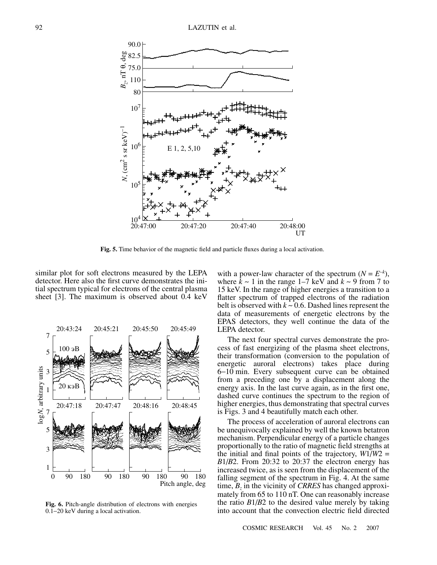

**Fig. 5.** Time behavior of the magnetic field and particle fluxes during a local activation.

similar plot for soft electrons measured by the LEPA detector. Here also the first curve demonstrates the initial spectrum typical for electrons of the central plasma sheet [3]. The maximum is observed about 0.4 keV



**Fig. 6.** Pitch-angle distribution of electrons with energies 0.1−20 keV during a local activation.

with a power-law character of the spectrum  $(N = E^{-k})$ , where  $\bar{k} \sim 1$  in the range 1–7 keV and  $k \sim 9$  from 7 to 15 keV. In the range of higher energies a transition to a flatter spectrum of trapped electrons of the radiation belt is observed with  $k \sim 0.6$ . Dashed lines represent the data of measurements of energetic electrons by the EPAS detectors, they well continue the data of the LEPA detector.

The next four spectral curves demonstrate the process of fast energizing of the plasma sheet electrons, their transformation (conversion to the population of energetic auroral electrons) takes place during 6−10 min. Every subsequent curve can be obtained from a preceding one by a displacement along the energy axis. In the last curve again, as in the first one, dashed curve continues the spectrum to the region of higher energies, thus demonstrating that spectral curves is Figs. 3 and 4 beautifully match each other.

The process of acceleration of auroral electrons can be unequivocally explained by well the known betatron mechanism. Perpendicular energy of a particle changes proportionally to the ratio of magnetic field strengths at the initial and final points of the trajectory, *W*1/*W*2 = *B*1/*B*2. From 20:32 to 20:37 the electron energy has increased twice, as is seen from the displacement of the falling segment of the spectrum in Fig. 4. At the same time, *B<sub>z</sub>* in the vicinity of *CRRES* has changed approximately from 65 to 110 nT. One can reasonably increase the ratio *B*1/*B*2 to the desired value merely by taking into account that the convection electric field directed

COSMIC RESEARCH Vol. 45 No. 2 2007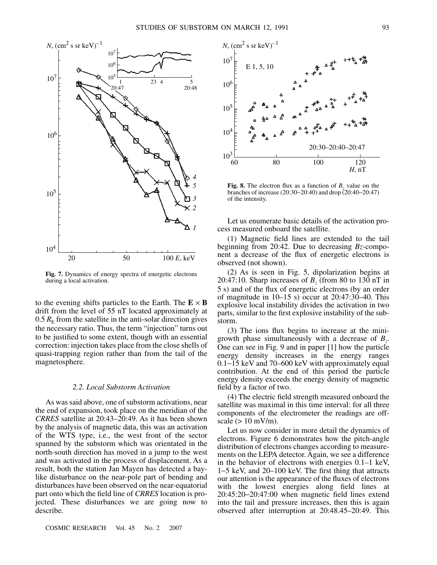

**Fig. 7.** Dynamics of energy spectra of energetic electrons during a local activation.

to the evening shifts particles to the Earth. The  $E \times B$ drift from the level of 55 nT located approximately at  $0.5 R<sub>E</sub>$  from the satellite in the anti-solar direction gives the necessary ratio. Thus, the term "injection" turns out to be justified to some extent, though with an essential correction: injection takes place from the close shells of quasi-trapping region rather than from the tail of the magnetosphere.

#### *2.2. Local Substorm Activation*

As was said above, one of substorm activations, near the end of expansion, took place on the meridian of the *CRRES* satellite at 20:43–20:49. As it has been shown by the analysis of magnetic data, this was an activation of the WTS type, i.e., the west front of the sector spanned by the substorm which was orientated in the north-south direction has moved in a jump to the west and was activated in the process of displacement. As a result, both the station Jan Mayen has detected a baylike disturbance on the near-pole part of bending and disturbances have been observed on the near-equatorial part onto which the field line of *CRRES* location is projected. These disturbances we are going now to describe.



**Fig. 8.** The electron flux as a function of  $B_7$  value on the branches of increase (20:30−20:40) and drop (20:40−20:47) of the intensity.

Let us enumerate basic details of the activation process measured onboard the satellite.

(1) Magnetic field lines are extended to the tail beginning from 20:42. Due to decreasing *Bz*-component a decrease of the flux of energetic electrons is observed (not shown).

(2) As is seen in Fig. 5, dipolarization begins at 20:47:10. Sharp increases of  $B<sub>z</sub>$  (from 80 to 130 nT in 5 s) and of the flux of energetic electrons (by an order of magnitude in  $10-15$  s) occur at  $20:47:30-40$ . This explosive local instability divides the activation in two parts, similar to the first explosive instability of the substorm.

(3) The ions flux begins to increase at the minigrowth phase simultaneously with a decrease of  $B_z$ . One can see in Fig. 9 and in paper [1] how the particle energy density increases in the energy ranges 0.1−15 keV and 70–600 keV with approximately equal contribution. At the end of this period the particle energy density exceeds the energy density of magnetic field by a factor of two.

(4) The electric field strength measured onboard the satellite was maximal in this time interval: for all three components of the electrometer the readings are offscale  $(> 10 \text{ mV/m})$ .

Let us now consider in more detail the dynamics of electrons. Figure 6 demonstrates how the pitch-angle distribution of electrons changes according to measurements on the LEPA detector. Again, we see a difference in the behavior of electrons with energies 0.1–1 keV, 1−5 keV, and 20–100 keV. The first thing that attracts our attention is the appearance of the fluxes of electrons with the lowest energies along field lines at 20:45:20−20:47:00 when magnetic field lines extend into the tail and pressure increases, then this is again observed after interruption at 20:48.45–20:49. This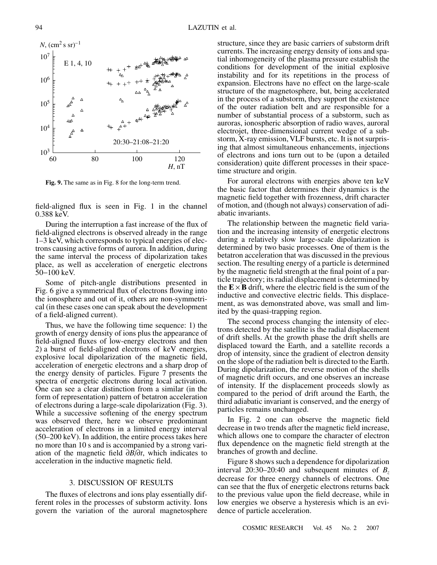

**Fig. 9.** The same as in Fig. 8 for the long-term trend.

field-aligned flux is seen in Fig. 1 in the channel 0.388 keV.

During the interruption a fast increase of the flux of field-aligned electrons is observed already in the range 1–3 keV, which corresponds to typical energies of electrons causing active forms of aurora. In addition, during the same interval the process of dipolarization takes place, as well as acceleration of energetic electrons 50−100 keV.

Some of pitch-angle distributions presented in Fig. 6 give a symmetrical flux of electrons flowing into the ionosphere and out of it, others are non-symmetrical (in these cases one can speak about the development of a field-aligned current).

Thus, we have the following time sequence: 1) the growth of energy density of ions plus the appearance of field-aligned fluxes of low-energy electrons and then 2) a burst of field-aligned electrons of keV energies, explosive local dipolarization of the magnetic field, acceleration of energetic electrons and a sharp drop of the energy density of particles. Figure 7 presents the spectra of energetic electrons during local activation. One can see a clear distinction from a similar (in the form of representation) pattern of betatron acceleration of electrons during a large-scale dipolarization (Fig. 3). While a successive softening of the energy spectrum was observed there, here we observe predominant acceleration of electrons in a limited energy interval (50–200 keV). In addition, the entire process takes here no more than 10 s and is accompanied by a strong variation of the magnetic field ∂*B*/∂*t*, which indicates to acceleration in the inductive magnetic field.

# 3. DISCUSSION OF RESULTS

The fluxes of electrons and ions play essentially different roles in the processes of substorm activity. Ions govern the variation of the auroral magnetosphere structure, since they are basic carriers of substorm drift currents. The increasing energy density of ions and spatial inhomogeneity of the plasma pressure establish the conditions for development of the initial explosive instability and for its repetitions in the process of expansion. Electrons have no effect on the large-scale structure of the magnetosphere, but, being accelerated in the process of a substorm, they support the existence of the outer radiation belt and are responsible for a number of substantial process of a substorm, such as auroras, ionospheric absorption of radio waves, auroral electrojet, three-dimensional current wedge of a substorm, X-ray emission, VLF bursts, etc. It is not surprising that almost simultaneous enhancements, injections of electrons and ions turn out to be (upon a detailed consideration) quite different processes in their spacetime structure and origin.

For auroral electrons with energies above ten keV the basic factor that determines their dynamics is the magnetic field together with frozenness, drift character of motion, and (though not always) conservation of adiabatic invariants.

The relationship between the magnetic field variation and the increasing intensity of energetic electrons during a relatively slow large-scale dipolarization is determined by two basic processes. One of them is the betatron acceleration that was discussed in the previous section. The resulting energy of a particle is determined by the magnetic field strength at the final point of a particle trajectory; its radial displacement is determined by the  $\mathbf{E} \times \mathbf{B}$  drift, where the electric field is the sum of the inductive and convective electric fields. This displacement, as was demonstrated above, was small and limited by the quasi-trapping region.

The second process changing the intensity of electrons detected by the satellite is the radial displacement of drift shells. At the growth phase the drift shells are displaced toward the Earth, and a satellite records a drop of intensity, since the gradient of electron density on the slope of the radiation belt is directed to the Earth. During dipolarization, the reverse motion of the shells of magnetic drift occurs, and one observes an increase of intensity. If the displacement proceeds slowly as compared to the period of drift around the Earth, the third adiabatic invariant is conserved, and the energy of particles remains unchanged.

In Fig. 2 one can observe the magnetic field decrease in two trends after the magnetic field increase, which allows one to compare the character of electron flux dependence on the magnetic field strength at the branches of growth and decline.

Figure 8 shows such a dependence for dipolarization interval  $20:30-20:40$  and subsequent minutes of  $B_z$ decrease for three energy channels of electrons. One can see that the flux of energetic electrons returns back to the previous value upon the field decrease, while in low energies we observe a hysteresis which is an evidence of particle acceleration.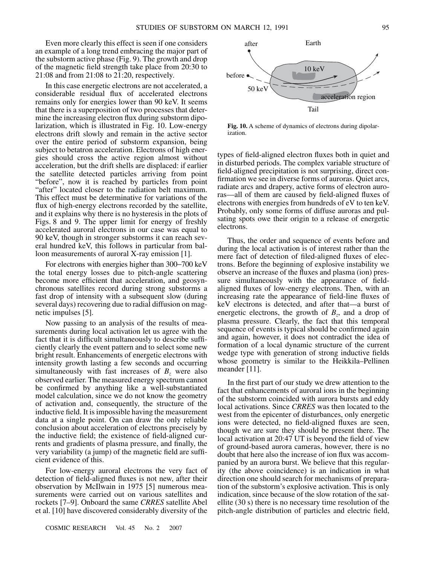Even more clearly this effect is seen if one considers an example of a long trend embracing the major part of the substorm active phase (Fig. 9). The growth and drop of the magnetic field strength take place from 20:30 to 21:08 and from 21:08 to 21:20, respectively.

In this case energetic electrons are not accelerated, a considerable residual flux of accelerated electrons remains only for energies lower than 90 keV. It seems that there is a superposition of two processes that determine the increasing electron flux during substorm dipolarization, which is illustrated in Fig. 10. Low-energy electrons drift slowly and remain in the active sector over the entire period of substorm expansion, being subject to betatron acceleration. Electrons of high energies should cross the active region almost without acceleration, but the drift shells are displaced: if earlier the satellite detected particles arriving from point "before", now it is reached by particles from point "after" located closer to the radiation belt maximum. This effect must be determinative for variations of the flux of high-energy electrons recorded by the satellite, and it explains why there is no hysteresis in the plots of Figs. 8 and 9. The upper limit for energy of freshly accelerated auroral electrons in our case was equal to 90 keV, though in stronger substorms it can reach several hundred keV, this follows in particular from balloon measurements of auroral X-ray emission [1].

For electrons with energies higher than 300−700 keV the total energy losses due to pitch-angle scattering become more efficient that acceleration, and geosynchronous satellites record during strong substorms a fast drop of intensity with a subsequent slow (during several days) recovering due to radial diffusion on magnetic impulses [5].

Now passing to an analysis of the results of measurements during local activation let us agree with the fact that it is difficult simultaneously to describe sufficiently clearly the event pattern and to select some new bright result. Enhancements of energetic electrons with intensity growth lasting a few seconds and occurring simultaneously with fast increases of  $B<sub>z</sub>$  were also observed earlier. The measured energy spectrum cannot be confirmed by anything like a well-substantiated model calculation, since we do not know the geometry of activation and, consequently, the structure of the inductive field. It is impossible having the measurement data at a single point. On can draw the only reliable conclusion about acceleration of electrons precisely by the inductive field; the existence of field-aligned currents and gradients of plasma pressure, and finally, the very variability (a jump) of the magnetic field are sufficient evidence of this.

For low-energy auroral electrons the very fact of detection of field-aligned fluxes is not new, after their observation by McIlwain in 1975 [5] numerous measurements were carried out on various satellites and rockets [7–9]. Onboard the same *CRRES* satellite Abel et al. [10] have discovered considerably diversity of the



**Fig. 10.** A scheme of dynamics of electrons during dipolarization.

types of field-aligned electron fluxes both in quiet and in disturbed periods. The complex variable structure of field-aligned precipitation is not surprising, direct confirmation we see in diverse forms of auroras. Quiet arcs, radiate arcs and drapery, active forms of electron auroras—all of them are caused by field-aligned fluxes of electrons with energies from hundreds of eV to ten keV. Probably, only some forms of diffuse auroras and pulsating spots owe their origin to a release of energetic electrons.

Thus, the order and sequence of events before and during the local activation is of interest rather than the mere fact of detection of filed-aligned fluxes of electrons. Before the beginning of explosive instability we observe an increase of the fluxes and plasma (ion) pressure simultaneously with the appearance of fieldaligned fluxes of low-energy electrons. Then, with an increasing rate the appearance of field-line fluxes of keV electrons is detected, and after that—a burst of energetic electrons, the growth of  $B_z$ , and a drop of plasma pressure. Clearly, the fact that this temporal sequence of events is typical should be confirmed again and again, however, it does not contradict the idea of formation of a local dynamic structure of the current wedge type with generation of strong inductive fields whose geometry is similar to the Heikkila–Pellinen meander [11].

In the first part of our study we drew attention to the fact that enhancements of auroral ions in the beginning of the substorm coincided with aurora bursts and eddy local activations. Since *CRRES* was then located to the west from the epicenter of disturbances, only energetic ions were detected, no field-aligned fluxes are seen, though we are sure they should be present there. The local activation at 20:47 UT is beyond the field of view of ground-based aurora cameras, however, there is no doubt that here also the increase of ion flux was accompanied by an aurora burst. We believe that this regularity (the above coincidence) is an indication in what direction one should search for mechanisms of preparation of the substorm's explosive activation. This is only indication, since because of the slow rotation of the satellite (30 s) there is no necessary time resolution of the pitch-angle distribution of particles and electric field,